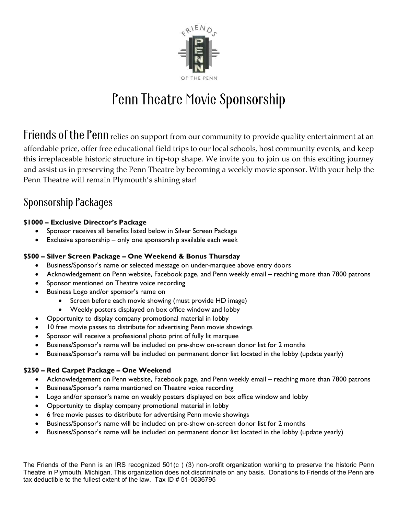

# Penn Theatre Movie Sponsorship

Friends of the Penn relies on support from our community to provide quality entertainment at an affordable price, offer free educational field trips to our local schools, host community events, and keep this irreplaceable historic structure in tip-top shape. We invite you to join us on this exciting journey and assist us in preserving the Penn Theatre by becoming a weekly movie sponsor. With your help the Penn Theatre will remain Plymouth's shining star!

### **Sponsorship Packages**

#### \$1000 – Exclusive Director's Package

- Sponsor receives all benefits listed below in Silver Screen Package
- Exclusive sponsorship only one sponsorship available each week

#### \$500 – Silver Screen Package – One Weekend & Bonus Thursday

- Business/Sponsor's name or selected message on under-marquee above entry doors
- Acknowledgement on Penn website, Facebook page, and Penn weekly email reaching more than 7800 patrons
- Sponsor mentioned on Theatre voice recording
- Business Logo and/or sponsor's name on
	- Screen before each movie showing (must provide HD image)
	- Weekly posters displayed on box office window and lobby
	- Opportunity to display company promotional material in lobby
- 10 free movie passes to distribute for advertising Penn movie showings
- Sponsor will receive a professional photo print of fully lit marquee
- Business/Sponsor's name will be included on pre-show on-screen donor list for 2 months
- Business/Sponsor's name will be included on permanent donor list located in the lobby (update yearly)

#### \$250 – Red Carpet Package – One Weekend

- Acknowledgement on Penn website, Facebook page, and Penn weekly email reaching more than 7800 patrons
- Business/Sponsor's name mentioned on Theatre voice recording
- Logo and/or sponsor's name on weekly posters displayed on box office window and lobby
- Opportunity to display company promotional material in lobby
- 6 free movie passes to distribute for advertising Penn movie showings
- Business/Sponsor's name will be included on pre-show on-screen donor list for 2 months
- Business/Sponsor's name will be included on permanent donor list located in the lobby (update yearly)

The Friends of the Penn is an IRS recognized 501(c ) (3) non-profit organization working to preserve the historic Penn Theatre in Plymouth, Michigan. This organization does not discriminate on any basis. Donations to Friends of the Penn are tax deductible to the fullest extent of the law. Tax ID # 51-0536795